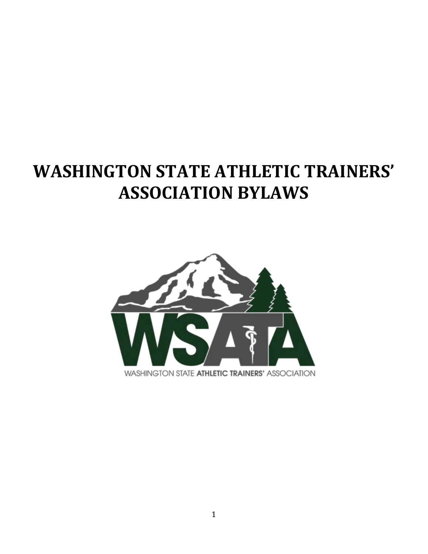# **WASHINGTON STATE ATHLETIC TRAINERS' ASSOCIATION BYLAWS**

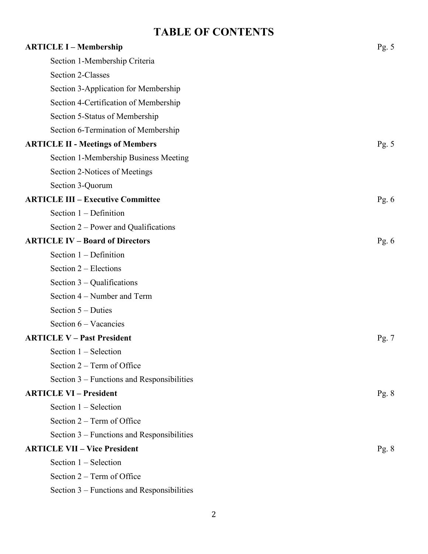# **TABLE OF CONTENTS**

| <b>ARTICLE I - Membership</b>              | Pg. $5$ |
|--------------------------------------------|---------|
| Section 1-Membership Criteria              |         |
| <b>Section 2-Classes</b>                   |         |
| Section 3-Application for Membership       |         |
| Section 4-Certification of Membership      |         |
| Section 5-Status of Membership             |         |
| Section 6-Termination of Membership        |         |
| <b>ARTICLE II - Meetings of Members</b>    | Pg. $5$ |
| Section 1-Membership Business Meeting      |         |
| Section 2-Notices of Meetings              |         |
| Section 3-Quorum                           |         |
| <b>ARTICLE III - Executive Committee</b>   | Pg. $6$ |
| Section $1 - Definition$                   |         |
| Section 2 – Power and Qualifications       |         |
| <b>ARTICLE IV - Board of Directors</b>     | Pg. $6$ |
| Section $1$ – Definition                   |         |
| Section $2$ – Elections                    |         |
| Section $3$ – Qualifications               |         |
| Section 4 – Number and Term                |         |
| Section 5 – Duties                         |         |
| Section 6 – Vacancies                      |         |
| <b>ARTICLE V - Past President</b>          | Pg. 7   |
| Section $1 -$ Selection                    |         |
| Section $2 - Term$ of Office               |         |
| Section 3 – Functions and Responsibilities |         |
| <b>ARTICLE VI - President</b>              | Pg. $8$ |
| Section $1 -$ Selection                    |         |
| Section $2 - Term$ of Office               |         |
| Section 3 – Functions and Responsibilities |         |
| <b>ARTICLE VII - Vice President</b>        | Pg. $8$ |
| Section $1 -$ Selection                    |         |
| Section $2 - Term$ of Office               |         |
| Section 3 – Functions and Responsibilities |         |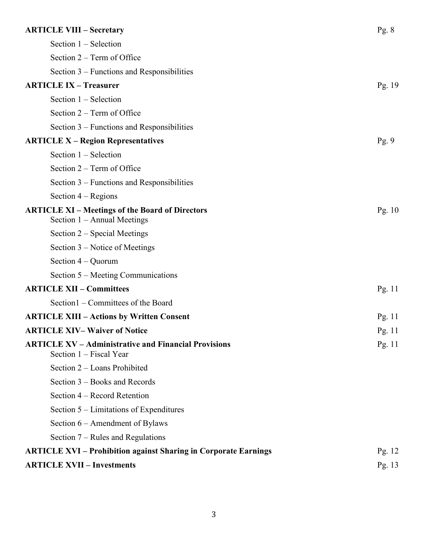| <b>ARTICLE VIII - Secretary</b>                                                         | Pg. $8$  |
|-----------------------------------------------------------------------------------------|----------|
| Section $1 -$ Selection                                                                 |          |
| Section $2 - Term$ of Office                                                            |          |
| Section $3$ – Functions and Responsibilities                                            |          |
| <b>ARTICLE IX - Treasurer</b>                                                           | Pg. $19$ |
| Section $1 -$ Selection                                                                 |          |
| Section $2 - Term$ of Office                                                            |          |
| Section $3$ – Functions and Responsibilities                                            |          |
| <b>ARTICLE X – Region Representatives</b>                                               | Pg.9     |
| Section $1 -$ Selection                                                                 |          |
| Section $2 - Term$ of Office                                                            |          |
| Section 3 – Functions and Responsibilities                                              |          |
| Section $4 - \text{Regions}$                                                            |          |
| <b>ARTICLE XI – Meetings of the Board of Directors</b><br>Section $1 -$ Annual Meetings | Pg. $10$ |
| Section 2 – Special Meetings                                                            |          |
| Section $3$ – Notice of Meetings                                                        |          |
| Section $4 -$ Quorum                                                                    |          |
| Section $5$ – Meeting Communications                                                    |          |
| <b>ARTICLE XII - Committees</b>                                                         | Pg. $11$ |
| Section1 – Committees of the Board                                                      |          |
| <b>ARTICLE XIII – Actions by Written Consent</b>                                        | Pg. $11$ |
| <b>ARTICLE XIV-Waiver of Notice</b>                                                     | Pg. $11$ |
| <b>ARTICLE XV – Administrative and Financial Provisions</b><br>Section 1 – Fiscal Year  | Pg. $11$ |
| Section 2 - Loans Prohibited                                                            |          |
| Section 3 – Books and Records                                                           |          |
| Section 4 – Record Retention                                                            |          |
| Section 5 – Limitations of Expenditures                                                 |          |
| Section $6$ – Amendment of Bylaws                                                       |          |
| Section $7$ – Rules and Regulations                                                     |          |
| <b>ARTICLE XVI - Prohibition against Sharing in Corporate Earnings</b>                  | Pg. $12$ |
| <b>ARTICLE XVII - Investments</b>                                                       | Pg. 13   |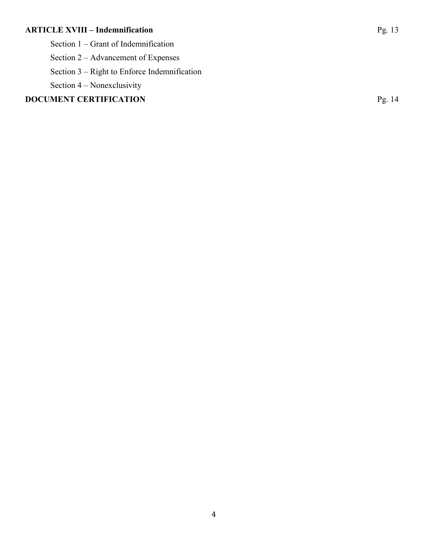# **ARTICLE XVIII – Indemnification** Pg. 13

Section 2 – Advancement of Expenses

Section 3 – Right to Enforce Indemnification

Section 4 – Nonexclusivity

# **DOCUMENT CERTIFICATION** Pg. 14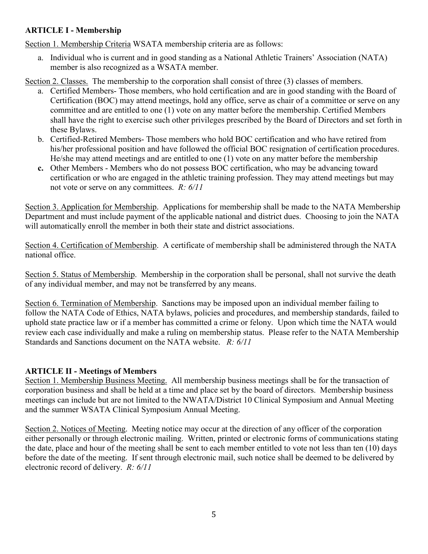# **ARTICLE I - Membership**

Section 1. Membership Criteria WSATA membership criteria are as follows:

a. Individual who is current and in good standing as a National Athletic Trainers' Association (NATA) member is also recognized as a WSATA member.

Section 2. Classes. The membership to the corporation shall consist of three (3) classes of members.

- a. Certified Members- Those members, who hold certification and are in good standing with the Board of Certification (BOC) may attend meetings, hold any office, serve as chair of a committee or serve on any committee and are entitled to one (1) vote on any matter before the membership. Certified Members shall have the right to exercise such other privileges prescribed by the Board of Directors and set forth in these Bylaws.
- b. Certified-Retired Members- Those members who hold BOC certification and who have retired from his/her professional position and have followed the official BOC resignation of certification procedures. He/she may attend meetings and are entitled to one (1) vote on any matter before the membership
- **c.** Other Members Members who do not possess BOC certification, who may be advancing toward certification or who are engaged in the athletic training profession. They may attend meetings but may not vote or serve on any committees. *R: 6/11*

Section 3. Application for Membership. Applications for membership shall be made to the NATA Membership Department and must include payment of the applicable national and district dues. Choosing to join the NATA will automatically enroll the member in both their state and district associations.

Section 4. Certification of Membership. A certificate of membership shall be administered through the NATA national office.

Section 5. Status of Membership. Membership in the corporation shall be personal, shall not survive the death of any individual member, and may not be transferred by any means.

Section 6. Termination of Membership. Sanctions may be imposed upon an individual member failing to follow the NATA Code of Ethics, NATA bylaws, policies and procedures, and membership standards, failed to uphold state practice law or if a member has committed a crime or felony. Upon which time the NATA would review each case individually and make a ruling on membership status. Please refer to the NATA Membership Standards and Sanctions document on the NATA website. *R: 6/11*

# **ARTICLE II - Meetings of Members**

Section 1. Membership Business Meeting. All membership business meetings shall be for the transaction of corporation business and shall be held at a time and place set by the board of directors. Membership business meetings can include but are not limited to the NWATA/District 10 Clinical Symposium and Annual Meeting and the summer WSATA Clinical Symposium Annual Meeting.

Section 2. Notices of Meeting. Meeting notice may occur at the direction of any officer of the corporation either personally or through electronic mailing. Written, printed or electronic forms of communications stating the date, place and hour of the meeting shall be sent to each member entitled to vote not less than ten (10) days before the date of the meeting. If sent through electronic mail, such notice shall be deemed to be delivered by electronic record of delivery. *R: 6/11*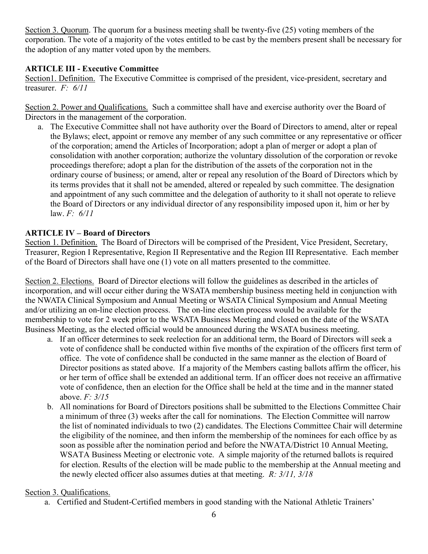Section 3. Quorum. The quorum for a business meeting shall be twenty-five (25) voting members of the corporation. The vote of a majority of the votes entitled to be cast by the members present shall be necessary for the adoption of any matter voted upon by the members.

#### **ARTICLE III - Executive Committee**

Section1. Definition. The Executive Committee is comprised of the president, vice-president, secretary and treasurer. *F: 6/11*

Section 2. Power and Qualifications. Such a committee shall have and exercise authority over the Board of Directors in the management of the corporation.

a. The Executive Committee shall not have authority over the Board of Directors to amend, alter or repeal the Bylaws; elect, appoint or remove any member of any such committee or any representative or officer of the corporation; amend the Articles of Incorporation; adopt a plan of merger or adopt a plan of consolidation with another corporation; authorize the voluntary dissolution of the corporation or revoke proceedings therefore; adopt a plan for the distribution of the assets of the corporation not in the ordinary course of business; or amend, alter or repeal any resolution of the Board of Directors which by its terms provides that it shall not be amended, altered or repealed by such committee. The designation and appointment of any such committee and the delegation of authority to it shall not operate to relieve the Board of Directors or any individual director of any responsibility imposed upon it, him or her by law. *F: 6/11*

#### **ARTICLE IV – Board of Directors**

Section 1. Definition. The Board of Directors will be comprised of the President, Vice President, Secretary, Treasurer, Region I Representative, Region II Representative and the Region III Representative. Each member of the Board of Directors shall have one (1) vote on all matters presented to the committee.

Section 2. Elections. Board of Director elections will follow the guidelines as described in the articles of incorporation, and will occur either during the WSATA membership business meeting held in conjunction with the NWATA Clinical Symposium and Annual Meeting or WSATA Clinical Symposium and Annual Meeting and/or utilizing an on-line election process. The on-line election process would be available for the membership to vote for 2 week prior to the WSATA Business Meeting and closed on the date of the WSATA Business Meeting, as the elected official would be announced during the WSATA business meeting.

- a. If an officer determines to seek reelection for an additional term, the Board of Directors will seek a vote of confidence shall be conducted within five months of the expiration of the officers first term of office. The vote of confidence shall be conducted in the same manner as the election of Board of Director positions as stated above. If a majority of the Members casting ballots affirm the officer, his or her term of office shall be extended an additional term. If an officer does not receive an affirmative vote of confidence, then an election for the Office shall be held at the time and in the manner stated above. *F: 3/15*
- b. All nominations for Board of Directors positions shall be submitted to the Elections Committee Chair a minimum of three (3) weeks after the call for nominations. The Election Committee will narrow the list of nominated individuals to two (2) candidates. The Elections Committee Chair will determine the eligibility of the nominee, and then inform the membership of the nominees for each office by as soon as possible after the nomination period and before the NWATA/District 10 Annual Meeting, WSATA Business Meeting or electronic vote. A simple majority of the returned ballots is required for election. Results of the election will be made public to the membership at the Annual meeting and the newly elected officer also assumes duties at that meeting. *R: 3/11, 3/18*

#### Section 3. Qualifications.

a. Certified and Student-Certified members in good standing with the National Athletic Trainers'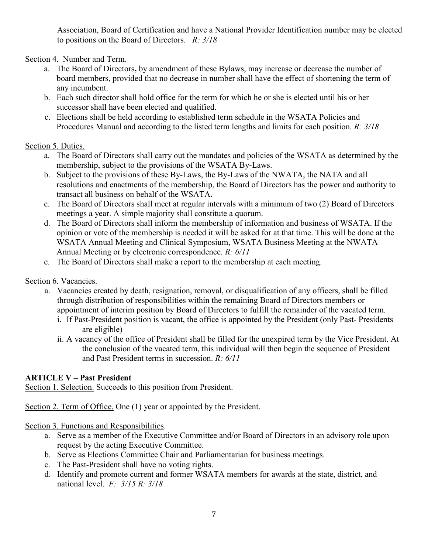Association, Board of Certification and have a National Provider Identification number may be elected to positions on the Board of Directors. *R: 3/18*

Section 4. Number and Term.

- a. The Board of Directors**,** by amendment of these Bylaws, may increase or decrease the number of board members, provided that no decrease in number shall have the effect of shortening the term of any incumbent.
- b. Each such director shall hold office for the term for which he or she is elected until his or her successor shall have been elected and qualified.
- c. Elections shall be held according to established term schedule in the WSATA Policies and Procedures Manual and according to the listed term lengths and limits for each position. *R: 3/18*

# Section 5. Duties.

- a. The Board of Directors shall carry out the mandates and policies of the WSATA as determined by the membership, subject to the provisions of the WSATA By-Laws.
- b. Subject to the provisions of these By-Laws, the By-Laws of the NWATA, the NATA and all resolutions and enactments of the membership, the Board of Directors has the power and authority to transact all business on behalf of the WSATA.
- c. The Board of Directors shall meet at regular intervals with a minimum of two (2) Board of Directors meetings a year. A simple majority shall constitute a quorum.
- d. The Board of Directors shall inform the membership of information and business of WSATA. If the opinion or vote of the membership is needed it will be asked for at that time. This will be done at the WSATA Annual Meeting and Clinical Symposium, WSATA Business Meeting at the NWATA Annual Meeting or by electronic correspondence. *R: 6/11*
- e. The Board of Directors shall make a report to the membership at each meeting.

# Section 6. Vacancies.

- a. Vacancies created by death, resignation, removal, or disqualification of any officers, shall be filled through distribution of responsibilities within the remaining Board of Directors members or appointment of interim position by Board of Directors to fulfill the remainder of the vacated term.
	- i. If Past-President position is vacant, the office is appointed by the President (only Past- Presidents are eligible)
	- ii. A vacancy of the office of President shall be filled for the unexpired term by the Vice President. At the conclusion of the vacated term, this individual will then begin the sequence of President and Past President terms in succession. *R: 6/11*

# **ARTICLE V – Past President**

Section 1. Selection. Succeeds to this position from President.

Section 2. Term of Office. One (1) year or appointed by the President.

#### Section 3. Functions and Responsibilities.

- a. Serve as a member of the Executive Committee and/or Board of Directors in an advisory role upon request by the acting Executive Committee.
- b. Serve as Elections Committee Chair and Parliamentarian for business meetings.
- c. The Past-President shall have no voting rights.
- d. Identify and promote current and former WSATA members for awards at the state, district, and national level. *F: 3/15 R: 3/18*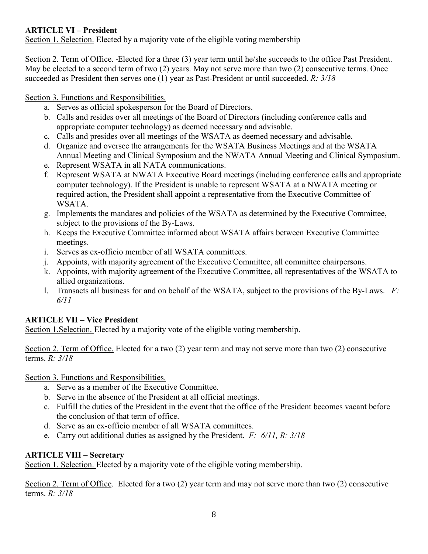# **ARTICLE VI – President**

Section 1. Selection. Elected by a majority vote of the eligible voting membership

Section 2. Term of Office. Elected for a three (3) year term until he/she succeeds to the office Past President. May be elected to a second term of two (2) years. May not serve more than two (2) consecutive terms. Once succeeded as President then serves one (1) year as Past-President or until succeeded. *R: 3/18*

Section 3. Functions and Responsibilities.

- a. Serves as official spokesperson for the Board of Directors.
- b. Calls and resides over all meetings of the Board of Directors (including conference calls and appropriate computer technology) as deemed necessary and advisable.
- c. Calls and presides over all meetings of the WSATA as deemed necessary and advisable.
- d. Organize and oversee the arrangements for the WSATA Business Meetings and at the WSATA Annual Meeting and Clinical Symposium and the NWATA Annual Meeting and Clinical Symposium.
- e. Represent WSATA in all NATA communications.
- f. Represent WSATA at NWATA Executive Board meetings (including conference calls and appropriate computer technology). If the President is unable to represent WSATA at a NWATA meeting or required action, the President shall appoint a representative from the Executive Committee of WSATA.
- g. Implements the mandates and policies of the WSATA as determined by the Executive Committee, subject to the provisions of the By-Laws.
- h. Keeps the Executive Committee informed about WSATA affairs between Executive Committee meetings.
- i. Serves as ex-officio member of all WSATA committees.
- j. Appoints, with majority agreement of the Executive Committee, all committee chairpersons.
- k. Appoints, with majority agreement of the Executive Committee, all representatives of the WSATA to allied organizations.
- l. Transacts all business for and on behalf of the WSATA, subject to the provisions of the By-Laws. *F: 6/11*

# **ARTICLE VII – Vice President**

Section 1.Selection. Elected by a majority vote of the eligible voting membership.

Section 2. Term of Office. Elected for a two (2) year term and may not serve more than two (2) consecutive terms. *R: 3/18*

Section 3. Functions and Responsibilities.

- a. Serve as a member of the Executive Committee.
- b. Serve in the absence of the President at all official meetings.
- c. Fulfill the duties of the President in the event that the office of the President becomes vacant before the conclusion of that term of office.
- d. Serve as an ex-officio member of all WSATA committees.
- e. Carry out additional duties as assigned by the President. *F: 6/11, R: 3/18*

# **ARTICLE VIII – Secretary**

Section 1. Selection. Elected by a majority vote of the eligible voting membership.

Section 2. Term of Office. Elected for a two (2) year term and may not serve more than two (2) consecutive terms. *R: 3/18*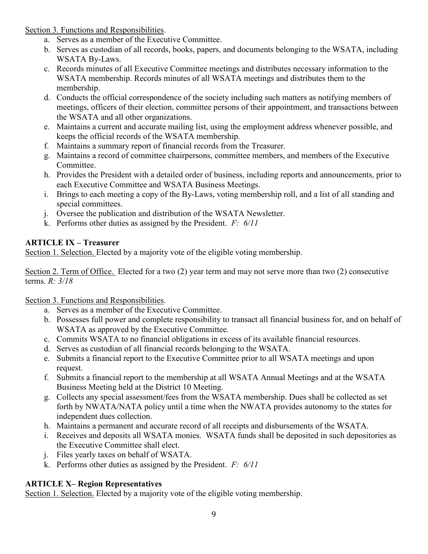Section 3. Functions and Responsibilities.

- a. Serves as a member of the Executive Committee.
- b. Serves as custodian of all records, books, papers, and documents belonging to the WSATA, including WSATA By-Laws.
- c. Records minutes of all Executive Committee meetings and distributes necessary information to the WSATA membership. Records minutes of all WSATA meetings and distributes them to the membership.
- d. Conducts the official correspondence of the society including such matters as notifying members of meetings, officers of their election, committee persons of their appointment, and transactions between the WSATA and all other organizations.
- e. Maintains a current and accurate mailing list, using the employment address whenever possible, and keeps the official records of the WSATA membership.
- f. Maintains a summary report of financial records from the Treasurer.
- g. Maintains a record of committee chairpersons, committee members, and members of the Executive Committee.
- h. Provides the President with a detailed order of business, including reports and announcements, prior to each Executive Committee and WSATA Business Meetings.
- i. Brings to each meeting a copy of the By-Laws, voting membership roll, and a list of all standing and special committees.
- j. Oversee the publication and distribution of the WSATA Newsletter.
- k. Performs other duties as assigned by the President. *F: 6/11*

# **ARTICLE IX – Treasurer**

Section 1. Selection. Elected by a majority vote of the eligible voting membership.

Section 2. Term of Office. Elected for a two (2) year term and may not serve more than two (2) consecutive terms. *R: 3/18*

# Section 3. Functions and Responsibilities.

- a. Serves as a member of the Executive Committee.
- b. Possesses full power and complete responsibility to transact all financial business for, and on behalf of WSATA as approved by the Executive Committee.
- c. Commits WSATA to no financial obligations in excess of its available financial resources.
- d. Serves as custodian of all financial records belonging to the WSATA.
- e. Submits a financial report to the Executive Committee prior to all WSATA meetings and upon request.
- f. Submits a financial report to the membership at all WSATA Annual Meetings and at the WSATA Business Meeting held at the District 10 Meeting.
- g. Collects any special assessment/fees from the WSATA membership. Dues shall be collected as set forth by NWATA/NATA policy until a time when the NWATA provides autonomy to the states for independent dues collection.
- h. Maintains a permanent and accurate record of all receipts and disbursements of the WSATA.
- i. Receives and deposits all WSATA monies. WSATA funds shall be deposited in such depositories as the Executive Committee shall elect.
- j. Files yearly taxes on behalf of WSATA.
- k. Performs other duties as assigned by the President. *F: 6/11*

# **ARTICLE X– Region Representatives**

Section 1. Selection. Elected by a majority vote of the eligible voting membership.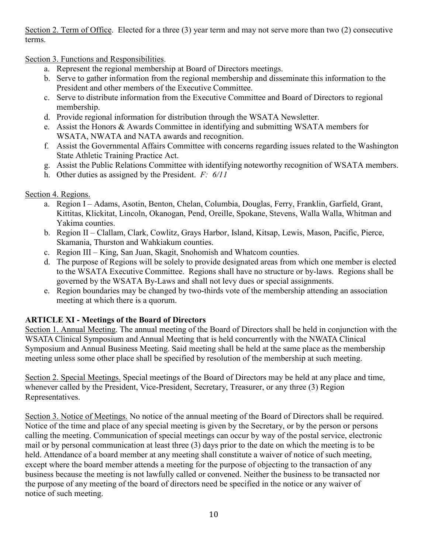Section 2. Term of Office. Elected for a three (3) year term and may not serve more than two (2) consecutive terms.

Section 3. Functions and Responsibilities.

- a. Represent the regional membership at Board of Directors meetings.
- b. Serve to gather information from the regional membership and disseminate this information to the President and other members of the Executive Committee.
- c. Serve to distribute information from the Executive Committee and Board of Directors to regional membership.
- d. Provide regional information for distribution through the WSATA Newsletter.
- e. Assist the Honors & Awards Committee in identifying and submitting WSATA members for WSATA, NWATA and NATA awards and recognition.
- f. Assist the Governmental Affairs Committee with concerns regarding issues related to the Washington State Athletic Training Practice Act.
- g. Assist the Public Relations Committee with identifying noteworthy recognition of WSATA members.
- h. Other duties as assigned by the President. *F: 6/11*

# Section 4. Regions.

- a. Region I Adams, Asotin, Benton, Chelan, Columbia, Douglas, Ferry, Franklin, Garfield, Grant, Kittitas, Klickitat, Lincoln, Okanogan, Pend, Oreille, Spokane, Stevens, Walla Walla, Whitman and Yakima counties.
- b. Region II Clallam, Clark, Cowlitz, Grays Harbor, Island, Kitsap, Lewis, Mason, Pacific, Pierce, Skamania, Thurston and Wahkiakum counties.
- c. Region III King, San Juan, Skagit, Snohomish and Whatcom counties.
- d. The purpose of Regions will be solely to provide designated areas from which one member is elected to the WSATA Executive Committee. Regions shall have no structure or by-laws. Regions shall be governed by the WSATA By-Laws and shall not levy dues or special assignments.
- e. Region boundaries may be changed by two-thirds vote of the membership attending an association meeting at which there is a quorum.

# **ARTICLE XI - Meetings of the Board of Directors**

Section 1. Annual Meeting. The annual meeting of the Board of Directors shall be held in conjunction with the WSATA Clinical Symposium and Annual Meeting that is held concurrently with the NWATA Clinical Symposium and Annual Business Meeting. Said meeting shall be held at the same place as the membership meeting unless some other place shall be specified by resolution of the membership at such meeting.

Section 2. Special Meetings. Special meetings of the Board of Directors may be held at any place and time, whenever called by the President, Vice-President, Secretary, Treasurer, or any three (3) Region Representatives.

Section 3. Notice of Meetings. No notice of the annual meeting of the Board of Directors shall be required. Notice of the time and place of any special meeting is given by the Secretary, or by the person or persons calling the meeting. Communication of special meetings can occur by way of the postal service, electronic mail or by personal communication at least three (3) days prior to the date on which the meeting is to be held. Attendance of a board member at any meeting shall constitute a waiver of notice of such meeting, except where the board member attends a meeting for the purpose of objecting to the transaction of any business because the meeting is not lawfully called or convened. Neither the business to be transacted nor the purpose of any meeting of the board of directors need be specified in the notice or any waiver of notice of such meeting.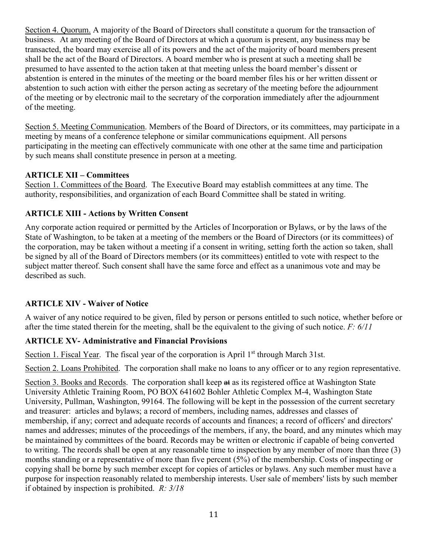Section 4. Quorum. A majority of the Board of Directors shall constitute a quorum for the transaction of business. At any meeting of the Board of Directors at which a quorum is present, any business may be transacted, the board may exercise all of its powers and the act of the majority of board members present shall be the act of the Board of Directors. A board member who is present at such a meeting shall be presumed to have assented to the action taken at that meeting unless the board member's dissent or abstention is entered in the minutes of the meeting or the board member files his or her written dissent or abstention to such action with either the person acting as secretary of the meeting before the adjournment of the meeting or by electronic mail to the secretary of the corporation immediately after the adjournment of the meeting.

Section 5. Meeting Communication. Members of the Board of Directors, or its committees, may participate in a meeting by means of a conference telephone or similar communications equipment. All persons participating in the meeting can effectively communicate with one other at the same time and participation by such means shall constitute presence in person at a meeting.

#### **ARTICLE XII – Committees**

Section 1. Committees of the Board. The Executive Board may establish committees at any time. The authority, responsibilities, and organization of each Board Committee shall be stated in writing.

# **ARTICLE XIII - Actions by Written Consent**

Any corporate action required or permitted by the Articles of Incorporation or Bylaws, or by the laws of the State of Washington, to be taken at a meeting of the members or the Board of Directors (or its committees) of the corporation, may be taken without a meeting if a consent in writing, setting forth the action so taken, shall be signed by all of the Board of Directors members (or its committees) entitled to vote with respect to the subject matter thereof. Such consent shall have the same force and effect as a unanimous vote and may be described as such.

# **ARTICLE XIV - Waiver of Notice**

A waiver of any notice required to be given, filed by person or persons entitled to such notice, whether before or after the time stated therein for the meeting, shall be the equivalent to the giving of such notice. *F: 6/11*

# **ARTICLE XV- Administrative and Financial Provisions**

Section 1. Fiscal Year. The fiscal year of the corporation is April 1<sup>st</sup> through March 31st.

Section 2. Loans Prohibited. The corporation shall make no loans to any officer or to any region representative.

Section 3. Books and Records. The corporation shall keep  $\theta$  at as its registered office at Washington State University Athletic Training Room, PO BOX 641602 Bohler Athletic Complex M-4, Washington State University, Pullman, Washington, 99164. The following will be kept in the possession of the current secretary and treasurer: articles and bylaws; a record of members, including names, addresses and classes of membership, if any; correct and adequate records of accounts and finances; a record of officers' and directors' names and addresses; minutes of the proceedings of the members, if any, the board, and any minutes which may be maintained by committees of the board. Records may be written or electronic if capable of being converted to writing. The records shall be open at any reasonable time to inspection by any member of more than three (3) months standing or a representative of more than five percent (5%) of the membership. Costs of inspecting or copying shall be borne by such member except for copies of articles or bylaws. Any such member must have a purpose for inspection reasonably related to membership interests. User sale of members' lists by such member if obtained by inspection is prohibited. *R: 3/18*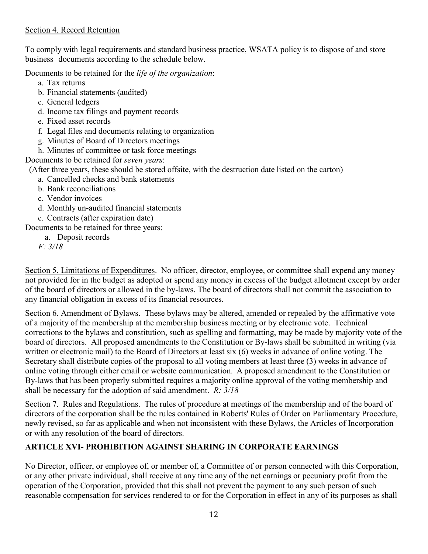#### Section 4. Record Retention

To comply with legal requirements and standard business practice, WSATA policy is to dispose of and store business documents according to the schedule below.

Documents to be retained for the *life of the organization*:

- a. Tax returns
- b. Financial statements (audited)
- c. General ledgers
- d. Income tax filings and payment records
- e. Fixed asset records
- f. Legal files and documents relating to organization
- g. Minutes of Board of Directors meetings
- h. Minutes of committee or task force meetings

Documents to be retained for *seven years*:

(After three years, these should be stored offsite, with the destruction date listed on the carton)

- a. Cancelled checks and bank statements
- b. Bank reconciliations
- c. Vendor invoices
- d. Monthly un-audited financial statements
- e. Contracts (after expiration date)

Documents to be retained for three years:

a. Deposit records

*F: 3/18*

Section 5. Limitations of Expenditures. No officer, director, employee, or committee shall expend any money not provided for in the budget as adopted or spend any money in excess of the budget allotment except by order of the board of directors or allowed in the by-laws. The board of directors shall not commit the association to any financial obligation in excess of its financial resources.

Section 6. Amendment of Bylaws. These bylaws may be altered, amended or repealed by the affirmative vote of a majority of the membership at the membership business meeting or by electronic vote. Technical corrections to the bylaws and constitution, such as spelling and formatting, may be made by majority vote of the board of directors. All proposed amendments to the Constitution or By-laws shall be submitted in writing (via written or electronic mail) to the Board of Directors at least six (6) weeks in advance of online voting. The Secretary shall distribute copies of the proposal to all voting members at least three (3) weeks in advance of online voting through either email or website communication. A proposed amendment to the Constitution or By-laws that has been properly submitted requires a majority online approval of the voting membership and shall be necessary for the adoption of said amendment. *R: 3/18*

Section 7. Rules and Regulations. The rules of procedure at meetings of the membership and of the board of directors of the corporation shall be the rules contained in Roberts' Rules of Order on Parliamentary Procedure, newly revised, so far as applicable and when not inconsistent with these Bylaws, the Articles of Incorporation or with any resolution of the board of directors.

# **ARTICLE XVI- PROHIBITION AGAINST SHARING IN CORPORATE EARNINGS**

No Director, officer, or employee of, or member of, a Committee of or person connected with this Corporation, or any other private individual, shall receive at any time any of the net earnings or pecuniary profit from the operation of the Corporation, provided that this shall not prevent the payment to any such person of such reasonable compensation for services rendered to or for the Corporation in effect in any of its purposes as shall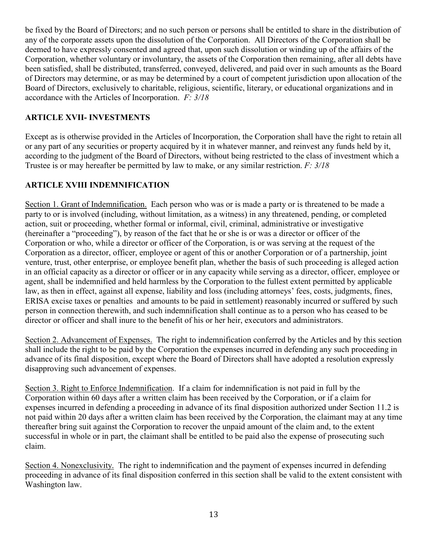be fixed by the Board of Directors; and no such person or persons shall be entitled to share in the distribution of any of the corporate assets upon the dissolution of the Corporation. All Directors of the Corporation shall be deemed to have expressly consented and agreed that, upon such dissolution or winding up of the affairs of the Corporation, whether voluntary or involuntary, the assets of the Corporation then remaining, after all debts have been satisfied, shall be distributed, transferred, conveyed, delivered, and paid over in such amounts as the Board of Directors may determine, or as may be determined by a court of competent jurisdiction upon allocation of the Board of Directors, exclusively to charitable, religious, scientific, literary, or educational organizations and in accordance with the Articles of Incorporation. *F: 3/18*

# **ARTICLE XVII- INVESTMENTS**

Except as is otherwise provided in the Articles of Incorporation, the Corporation shall have the right to retain all or any part of any securities or property acquired by it in whatever manner, and reinvest any funds held by it, according to the judgment of the Board of Directors, without being restricted to the class of investment which a Trustee is or may hereafter be permitted by law to make, or any similar restriction. *F: 3/18*

# **ARTICLE XVIII INDEMNIFICATION**

Section 1. Grant of Indemnification. Each person who was or is made a party or is threatened to be made a party to or is involved (including, without limitation, as a witness) in any threatened, pending, or completed action, suit or proceeding, whether formal or informal, civil, criminal, administrative or investigative (hereinafter a "proceeding"), by reason of the fact that he or she is or was a director or officer of the Corporation or who, while a director or officer of the Corporation, is or was serving at the request of the Corporation as a director, officer, employee or agent of this or another Corporation or of a partnership, joint venture, trust, other enterprise, or employee benefit plan, whether the basis of such proceeding is alleged action in an official capacity as a director or officer or in any capacity while serving as a director, officer, employee or agent, shall be indemnified and held harmless by the Corporation to the fullest extent permitted by applicable law, as then in effect, against all expense, liability and loss (including attorneys' fees, costs, judgments, fines, ERISA excise taxes or penalties and amounts to be paid in settlement) reasonably incurred or suffered by such person in connection therewith, and such indemnification shall continue as to a person who has ceased to be director or officer and shall inure to the benefit of his or her heir, executors and administrators.

Section 2. Advancement of Expenses. The right to indemnification conferred by the Articles and by this section shall include the right to be paid by the Corporation the expenses incurred in defending any such proceeding in advance of its final disposition, except where the Board of Directors shall have adopted a resolution expressly disapproving such advancement of expenses.

Section 3. Right to Enforce Indemnification. If a claim for indemnification is not paid in full by the Corporation within 60 days after a written claim has been received by the Corporation, or if a claim for expenses incurred in defending a proceeding in advance of its final disposition authorized under Section 11.2 is not paid within 20 days after a written claim has been received by the Corporation, the claimant may at any time thereafter bring suit against the Corporation to recover the unpaid amount of the claim and, to the extent successful in whole or in part, the claimant shall be entitled to be paid also the expense of prosecuting such claim.

Section 4. Nonexclusivity. The right to indemnification and the payment of expenses incurred in defending proceeding in advance of its final disposition conferred in this section shall be valid to the extent consistent with Washington law.